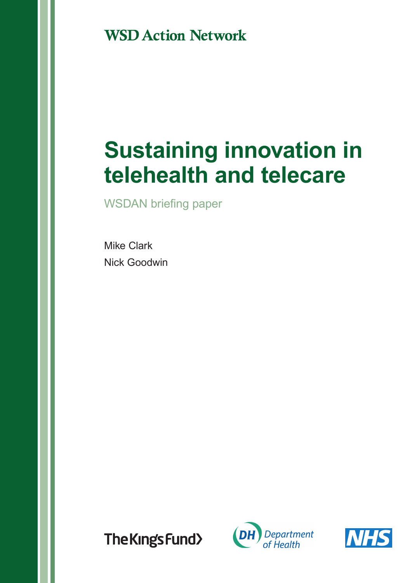**WSD Action Network** 

# **Sustaining innovation in telehealth and telecare**

WSDAN briefing paper

Mike Clark Nick Goodwin

The Kings Fund>



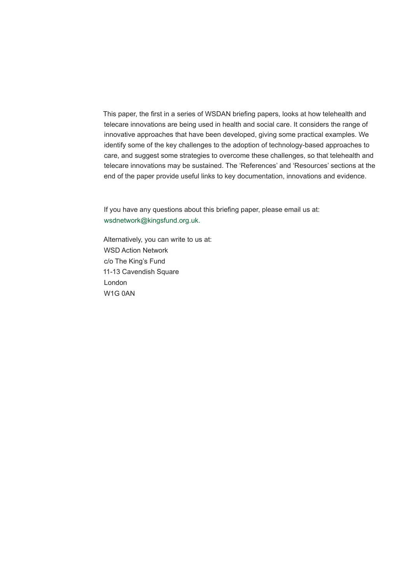This paper, the first in a series of WSDAN briefing papers, looks at how telehealth and telecare innovations are being used in health and social care. It considers the range of innovative approaches that have been developed, giving some practical examples. We identify some of the key challenges to the adoption of technology-based approaches to care, and suggest some strategies to overcome these challenges, so that telehealth and telecare innovations may be sustained. The 'References' and 'Resources' sections at the end of the paper provide useful links to key documentation, innovations and evidence.

If you have any questions about this briefing paper, please email us at: wsdnetwork@kingsfund.org.uk.

Alternatively, you can write to us at: WSD Action Network c/o The King's Fund 11-13 Cavendish Square London W1G 0AN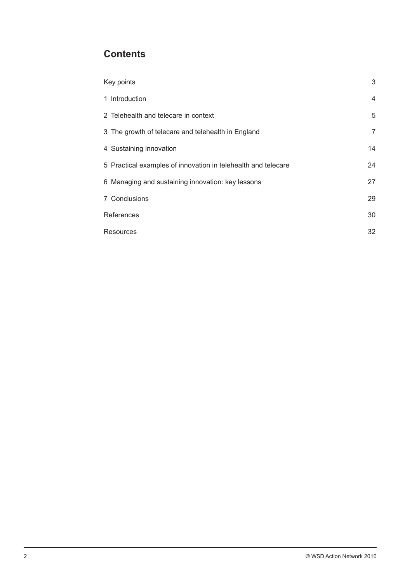## **Contents**

| Key points                                                    | 3              |
|---------------------------------------------------------------|----------------|
| 1 Introduction                                                | $\overline{4}$ |
| 2 Telehealth and telecare in context                          | 5              |
| 3 The growth of telecare and telehealth in England            | $\overline{7}$ |
| 4 Sustaining innovation                                       | 14             |
| 5 Practical examples of innovation in telehealth and telecare | 24             |
| 6 Managing and sustaining innovation: key lessons             | 27             |
| 7 Conclusions                                                 | 29             |
| References                                                    | 30             |
| Resources                                                     | 32             |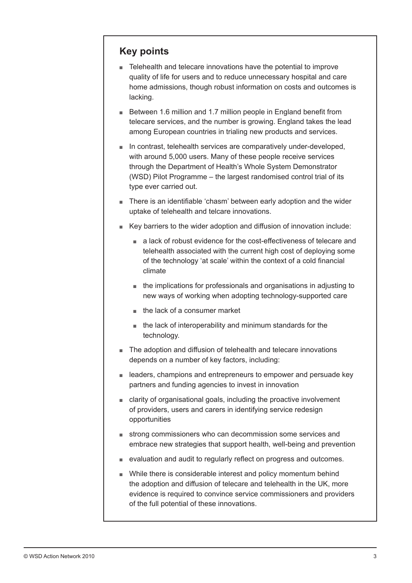## **Key points**

- Telehealth and telecare innovations have the potential to improve quality of life for users and to reduce unnecessary hospital and care home admissions, though robust information on costs and outcomes is lacking.
- Between 1.6 million and 1.7 million people in England benefit from telecare services, and the number is growing. England takes the lead among European countries in trialing new products and services.
- In contrast, telehealth services are comparatively under-developed, with around 5,000 users. Many of these people receive services through the Department of Health's Whole System Demonstrator (WSD) Pilot Programme – the largest randomised control trial of its type ever carried out.
- There is an identifiable 'chasm' between early adoption and the wider uptake of telehealth and telcare innovations.
- Key barriers to the wider adoption and diffusion of innovation include:
	- a lack of robust evidence for the cost-effectiveness of telecare and telehealth associated with the current high cost of deploying some of the technology 'at scale' within the context of a cold financial climate
	- the implications for professionals and organisations in adjusting to new ways of working when adopting technology-supported care
	- the lack of a consumer market
	- the lack of interoperability and minimum standards for the technology.
- The adoption and diffusion of telehealth and telecare innovations depends on a number of key factors, including:
- leaders, champions and entrepreneurs to empower and persuade key partners and funding agencies to invest in innovation
- clarity of organisational goals, including the proactive involvement of providers, users and carers in identifying service redesign opportunities
- strong commissioners who can decommission some services and embrace new strategies that support health, well-being and prevention
- evaluation and audit to regularly reflect on progress and outcomes.
- While there is considerable interest and policy momentum behind the adoption and diffusion of telecare and telehealth in the UK, more evidence is required to convince service commissioners and providers of the full potential of these innovations.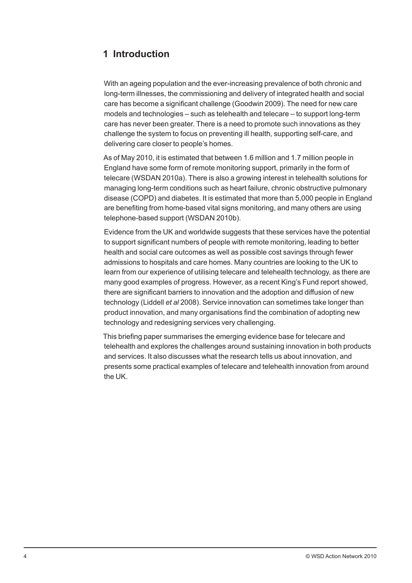## **1 Introduction**

With an ageing population and the ever-increasing prevalence of both chronic and long-term illnesses, the commissioning and delivery of integrated health and social care has become a significant challenge (Goodwin 2009). The need for new care models and technologies – such as telehealth and telecare – to support long-term care has never been greater. There is a need to promote such innovations as they challenge the system to focus on preventing ill health, supporting self-care, and delivering care closer to people's homes.

As of May 2010, it is estimated that between 1.6 million and 1.7 million people in England have some form of remote monitoring support, primarily in the form of telecare (WSDAN 2010a). There is also a growing interest in telehealth solutions for managing long-term conditions such as heart failure, chronic obstructive pulmonary disease (COPD) and diabetes. It is estimated that more than 5,000 people in England are benefiting from home-based vital signs monitoring, and many others are using telephone-based support (WSDAN 2010b).

Evidence from the UK and worldwide suggests that these services have the potential to support significant numbers of people with remote monitoring, leading to better health and social care outcomes as well as possible cost savings through fewer admissions to hospitals and care homes. Many countries are looking to the UK to learn from our experience of utilising telecare and telehealth technology, as there are many good examples of progress. However, as a recent King's Fund report showed, there are significant barriers to innovation and the adoption and diffusion of new technology (Liddell *et al* 2008). Service innovation can sometimes take longer than product innovation, and many organisations find the combination of adopting new technology and redesigning services very challenging.

This briefing paper summarises the emerging evidence base for telecare and telehealth and explores the challenges around sustaining innovation in both products and services. It also discusses what the research tells us about innovation, and presents some practical examples of telecare and telehealth innovation from around the UK.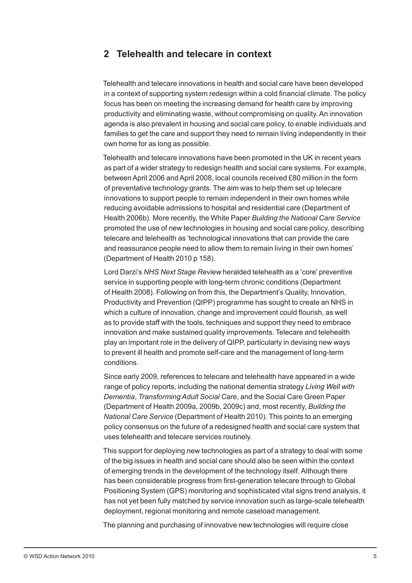## **2 Telehealth and telecare in context**

Telehealth and telecare innovations in health and social care have been developed in a context of supporting system redesign within a cold financial climate. The policy focus has been on meeting the increasing demand for health care by improving productivity and eliminating waste, without compromising on quality. An innovation agenda is also prevalent in housing and social care policy, to enable individuals and families to get the care and support they need to remain living independently in their own home for as long as possible.

Telehealth and telecare innovations have been promoted in the UK in recent years as part of a wider strategy to redesign health and social care systems. For example, between April 2006 and April 2008, local councils received £80 million in the form of preventative technology grants. The aim was to help them set up telecare innovations to support people to remain independent in their own homes while reducing avoidable admissions to hospital and residential care (Department of Health 2006b). More recently, the White Paper *Building the National Care Service* promoted the use of new technologies in housing and social care policy, describing telecare and telehealth as 'technological innovations that can provide the care and reassurance people need to allow them to remain living in their own homes' (Department of Health 2010 p 158).

Lord Darzi's *NHS Next Stage Review* heralded telehealth as a 'core' preventive service in supporting people with long-term chronic conditions (Department of Health 2008). Following on from this, the Department's Quality, Innovation, Productivity and Prevention (QIPP) programme has sought to create an NHS in which a culture of innovation, change and improvement could flourish, as well as to provide staff with the tools, techniques and support they need to embrace innovation and make sustained quality improvements. Telecare and telehealth play an important role in the delivery of QIPP, particularly in devising new ways to prevent ill health and promote self-care and the management of long-term conditions.

Since early 2009, references to telecare and telehealth have appeared in a wide range of policy reports, including the national dementia strategy *Living Well with Dementia*, *Transforming Adult Social Care*, and the Social Care Green Paper (Department of Health 2009a, 2009b, 2009c) and, most recently, *Building the National Care Service* (Department of Health 2010)*.* This points to an emerging policy consensus on the future of a redesigned health and social care system that uses telehealth and telecare services routinely.

This support for deploying new technologies as part of a strategy to deal with some of the big issues in health and social care should also be seen within the context of emerging trends in the development of the technology itself. Although there has been considerable progress from first-generation telecare through to Global Positioning System (GPS) monitoring and sophisticated vital signs trend analysis, it has not yet been fully matched by service innovation such as large-scale telehealth deployment, regional monitoring and remote caseload management.

The planning and purchasing of innovative new technologies will require close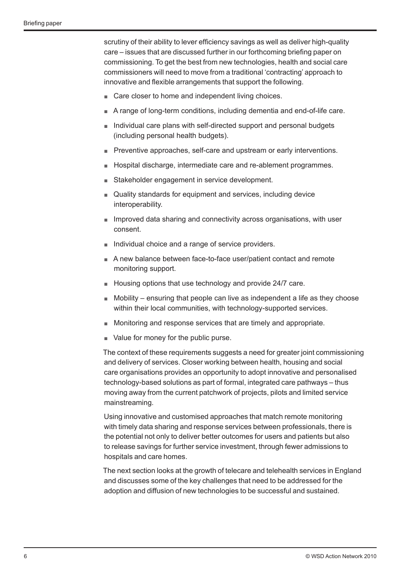scrutiny of their ability to lever efficiency savings as well as deliver high-quality care – issues that are discussed further in our forthcoming briefing paper on commissioning. To get the best from new technologies, health and social care commissioners will need to move from a traditional 'contracting' approach to innovative and flexible arrangements that support the following.

- Care closer to home and independent living choices.
- A range of long-term conditions, including dementia and end-of-life care.
- Individual care plans with self-directed support and personal budgets (including personal health budgets).
- Preventive approaches, self-care and upstream or early interventions.
- Hospital discharge, intermediate care and re-ablement programmes.
- Stakeholder engagement in service development.
- Quality standards for equipment and services, including device interoperability.
- Improved data sharing and connectivity across organisations, with user consent.
- Individual choice and a range of service providers.
- A new balance between face-to-face user/patient contact and remote monitoring support.
- Housing options that use technology and provide 24/7 care.
- $\blacksquare$  Mobility ensuring that people can live as independent a life as they choose within their local communities, with technology-supported services.
- Monitoring and response services that are timely and appropriate.
- Value for money for the public purse.

The context of these requirements suggests a need for greater joint commissioning and delivery of services. Closer working between health, housing and social care organisations provides an opportunity to adopt innovative and personalised technology-based solutions as part of formal, integrated care pathways – thus moving away from the current patchwork of projects, pilots and limited service mainstreaming.

Using innovative and customised approaches that match remote monitoring with timely data sharing and response services between professionals, there is the potential not only to deliver better outcomes for users and patients but also to release savings for further service investment, through fewer admissions to hospitals and care homes.

The next section looks at the growth of telecare and telehealth services in England and discusses some of the key challenges that need to be addressed for the adoption and diffusion of new technologies to be successful and sustained.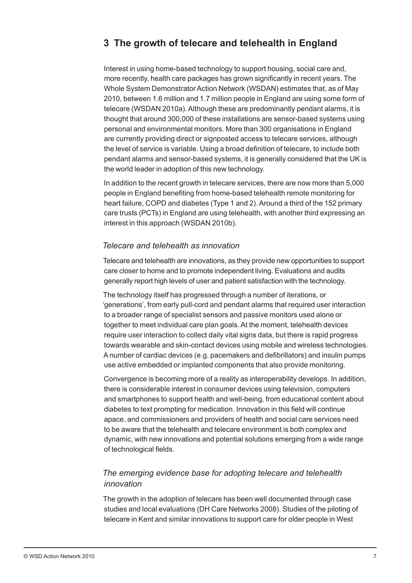## **3 The growth of telecare and telehealth in England**

Interest in using home-based technology to support housing, social care and, more recently, health care packages has grown significantly in recent years. The Whole System Demonstrator Action Network (WSDAN) estimates that, as of May 2010, between 1.6 million and 1.7 million people in England are using some form of telecare (WSDAN 2010a). Although these are predominantly pendant alarms, it is thought that around 300,000 of these installations are sensor-based systems using personal and environmental monitors. More than 300 organisations in England are currently providing direct or signposted access to telecare services, although the level of service is variable. Using a broad definition of telecare, to include both pendant alarms and sensor-based systems, it is generally considered that the UK is the world leader in adoption of this new technology.

In addition to the recent growth in telecare services, there are now more than 5,000 people in England benefiting from home-based telehealth remote monitoring for heart failure, COPD and diabetes (Type 1 and 2). Around a third of the 152 primary care trusts (PCTs) in England are using telehealth, with another third expressing an interest in this approach (WSDAN 2010b).

#### *Telecare and telehealth as innovation*

Telecare and telehealth are innovations, as they provide new opportunities to support care closer to home and to promote independent living. Evaluations and audits generally report high levels of user and patient satisfaction with the technology.

The technology itself has progressed through a number of iterations, or 'generations', from early pull-cord and pendant alarms that required user interaction to a broader range of specialist sensors and passive monitors used alone or together to meet individual care plan goals. At the moment, telehealth devices require user interaction to collect daily vital signs data, but there is rapid progress towards wearable and skin-contact devices using mobile and wireless technologies. A number of cardiac devices (e.g. pacemakers and defibrillators) and insulin pumps use active embedded or implanted components that also provide monitoring.

Convergence is becoming more of a reality as interoperability develops. In addition, there is considerable interest in consumer devices using television, computers and smartphones to support health and well-being, from educational content about diabetes to text prompting for medication. Innovation in this field will continue apace, and commissioners and providers of health and social care services need to be aware that the telehealth and telecare environment is both complex and dynamic, with new innovations and potential solutions emerging from a wide range of technological fields.

## *The emerging evidence base for adopting telecare and telehealth innovation*

The growth in the adoption of telecare has been well documented through case studies and local evaluations (DH Care Networks 2008). Studies of the piloting of telecare in Kent and similar innovations to support care for older people in West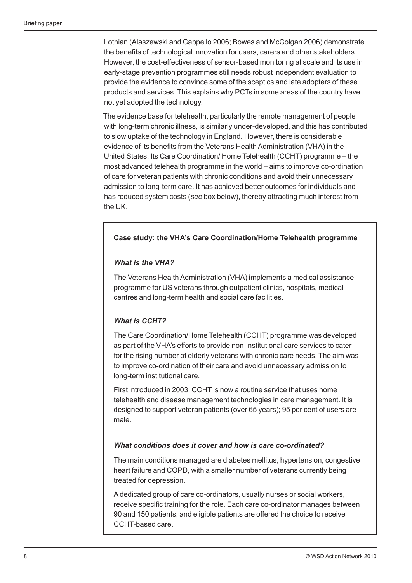Lothian (Alaszewski and Cappello 2006; Bowes and McColgan 2006) demonstrate the benefits of technological innovation for users, carers and other stakeholders. However, the cost-effectiveness of sensor-based monitoring at scale and its use in early-stage prevention programmes still needs robust independent evaluation to provide the evidence to convince some of the sceptics and late adopters of these products and services. This explains why PCTs in some areas of the country have not yet adopted the technology.

The evidence base for telehealth, particularly the remote management of people with long-term chronic illness, is similarly under-developed, and this has contributed to slow uptake of the technology in England. However, there is considerable evidence of its benefits from the Veterans Health Administration (VHA) in the United States. Its Care Coordination/ Home Telehealth (CCHT) programme – the most advanced telehealth programme in the world – aims to improve co-ordination of care for veteran patients with chronic conditions and avoid their unnecessary admission to long-term care. It has achieved better outcomes for individuals and has reduced system costs (*see* box below), thereby attracting much interest from the UK.

#### **Case study: the VHA's Care Coordination/Home Telehealth programme**

#### *What is the VHA?*

The Veterans Health Administration (VHA) implements a medical assistance programme for US veterans through outpatient clinics, hospitals, medical centres and long-term health and social care facilities.

#### *What is CCHT?*

The Care Coordination/Home Telehealth (CCHT) programme was developed as part of the VHA's efforts to provide non-institutional care services to cater for the rising number of elderly veterans with chronic care needs. The aim was to improve co-ordination of their care and avoid unnecessary admission to long-term institutional care.

First introduced in 2003, CCHT is now a routine service that uses home telehealth and disease management technologies in care management. It is designed to support veteran patients (over 65 years); 95 per cent of users are male.

#### *What conditions does it cover and how is care co-ordinated?*

The main conditions managed are diabetes mellitus, hypertension, congestive heart failure and COPD, with a smaller number of veterans currently being treated for depression.

A dedicated group of care co-ordinators, usually nurses or social workers, receive specific training for the role. Each care co-ordinator manages between 90 and 150 patients, and eligible patients are offered the choice to receive CCHT-based care.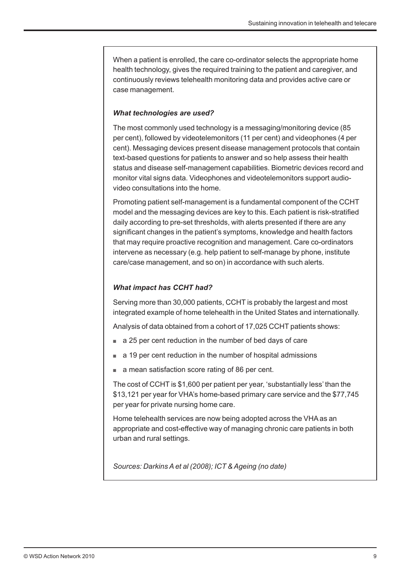When a patient is enrolled, the care co-ordinator selects the appropriate home health technology, gives the required training to the patient and caregiver, and continuously reviews telehealth monitoring data and provides active care or case management.

#### *What technologies are used?*

The most commonly used technology is a messaging/monitoring device (85 per cent), followed by videotelemonitors (11 per cent) and videophones (4 per cent). Messaging devices present disease management protocols that contain text-based questions for patients to answer and so help assess their health status and disease self-management capabilities. Biometric devices record and monitor vital signs data. Videophones and videotelemonitors support audiovideo consultations into the home.

Promoting patient self-management is a fundamental component of the CCHT model and the messaging devices are key to this. Each patient is risk-stratified daily according to pre-set thresholds, with alerts presented if there are any significant changes in the patient's symptoms, knowledge and health factors that may require proactive recognition and management. Care co-ordinators intervene as necessary (e.g. help patient to self-manage by phone, institute care/case management, and so on) in accordance with such alerts.

#### *What impact has CCHT had?*

Serving more than 30,000 patients, CCHT is probably the largest and most integrated example of home telehealth in the United States and internationally.

Analysis of data obtained from a cohort of 17,025 CCHT patients shows:

- a 25 per cent reduction in the number of bed days of care
- a 19 per cent reduction in the number of hospital admissions
- a mean satisfaction score rating of 86 per cent.

The cost of CCHT is \$1,600 per patient per year, 'substantially less' than the \$13,121 per year for VHA's home-based primary care service and the \$77,745 per year for private nursing home care.

Home telehealth services are now being adopted across the VHA as an appropriate and cost-effective way of managing chronic care patients in both urban and rural settings.

*Sources: Darkins A et al (2008); ICT & Ageing (no date)*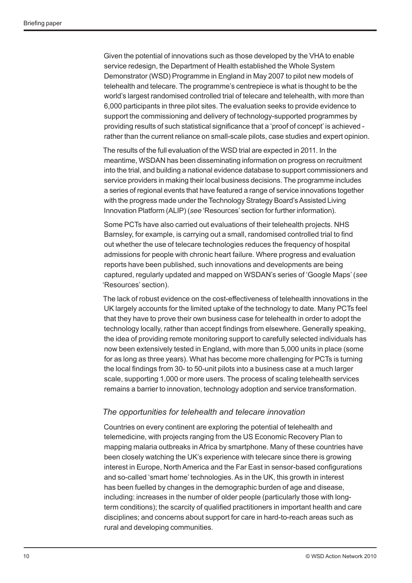Given the potential of innovations such as those developed by the VHA to enable service redesign, the Department of Health established the Whole System Demonstrator (WSD) Programme in England in May 2007 to pilot new models of telehealth and telecare. The programme's centrepiece is what is thought to be the world's largest randomised controlled trial of telecare and telehealth, with more than 6,000 participants in three pilot sites. The evaluation seeks to provide evidence to support the commissioning and delivery of technology-supported programmes by providing results of such statistical significance that a 'proof of concept' is achieved rather than the current reliance on small-scale pilots, case studies and expert opinion.

The results of the full evaluation of the WSD trial are expected in 2011. In the meantime, WSDAN has been disseminating information on progress on recruitment into the trial, and building a national evidence database to support commissioners and service providers in making their local business decisions. The programme includes a series of regional events that have featured a range of service innovations together with the progress made under the Technology Strategy Board's Assisted Living Innovation Platform (ALIP) (*see* 'Resources' section for further information).

Some PCTs have also carried out evaluations of their telehealth projects. NHS Barnsley, for example, is carrying out a small, randomised controlled trial to find out whether the use of telecare technologies reduces the frequency of hospital admissions for people with chronic heart failure. Where progress and evaluation reports have been published, such innovations and developments are being captured, regularly updated and mapped on WSDAN's series of 'Google Maps' (*see* 'Resources' section).

The lack of robust evidence on the cost-effectiveness of telehealth innovations in the UK largely accounts for the limited uptake of the technology to date. Many PCTs feel that they have to prove their own business case for telehealth in order to adopt the technology locally, rather than accept findings from elsewhere. Generally speaking, the idea of providing remote monitoring support to carefully selected individuals has now been extensively tested in England, with more than 5,000 units in place (some for as long as three years). What has become more challenging for PCTs is turning the local findings from 30- to 50-unit pilots into a business case at a much larger scale, supporting 1,000 or more users. The process of scaling telehealth services remains a barrier to innovation, technology adoption and service transformation.

#### *The opportunities for telehealth and telecare innovation*

Countries on every continent are exploring the potential of telehealth and telemedicine, with projects ranging from the US Economic Recovery Plan to mapping malaria outbreaks in Africa by smartphone. Many of these countries have been closely watching the UK's experience with telecare since there is growing interest in Europe, North America and the Far East in sensor-based configurations and so-called 'smart home' technologies. As in the UK, this growth in interest has been fuelled by changes in the demographic burden of age and disease, including: increases in the number of older people (particularly those with longterm conditions); the scarcity of qualified practitioners in important health and care disciplines; and concerns about support for care in hard-to-reach areas such as rural and developing communities.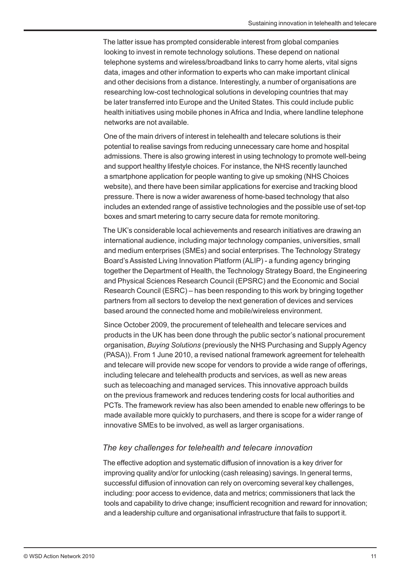The latter issue has prompted considerable interest from global companies looking to invest in remote technology solutions. These depend on national telephone systems and wireless/broadband links to carry home alerts, vital signs data, images and other information to experts who can make important clinical and other decisions from a distance. Interestingly, a number of organisations are researching low-cost technological solutions in developing countries that may be later transferred into Europe and the United States. This could include public health initiatives using mobile phones in Africa and India, where landline telephone networks are not available.

One of the main drivers of interest in telehealth and telecare solutions is their potential to realise savings from reducing unnecessary care home and hospital admissions. There is also growing interest in using technology to promote well-being and support healthy lifestyle choices. For instance, the NHS recently launched a smartphone application for people wanting to give up smoking (NHS Choices website), and there have been similar applications for exercise and tracking blood pressure. There is now a wider awareness of home-based technology that also includes an extended range of assistive technologies and the possible use of set-top boxes and smart metering to carry secure data for remote monitoring.

The UK's considerable local achievements and research initiatives are drawing an international audience, including major technology companies, universities, small and medium enterprises (SMEs) and social enterprises. The Technology Strategy Board's Assisted Living Innovation Platform (ALIP) - a funding agency bringing together the Department of Health, the Technology Strategy Board, the Engineering and Physical Sciences Research Council (EPSRC) and the Economic and Social Research Council (ESRC) – has been responding to this work by bringing together partners from all sectors to develop the next generation of devices and services based around the connected home and mobile/wireless environment.

Since October 2009, the procurement of telehealth and telecare services and products in the UK has been done through the public sector's national procurement organisation, *Buying Solutions* (previously the NHS Purchasing and Supply Agency (PASA)). From 1 June 2010, a revised national framework agreement for telehealth and telecare will provide new scope for vendors to provide a wide range of offerings, including telecare and telehealth products and services, as well as new areas such as telecoaching and managed services. This innovative approach builds on the previous framework and reduces tendering costs for local authorities and PCTs. The framework review has also been amended to enable new offerings to be made available more quickly to purchasers, and there is scope for a wider range of innovative SMEs to be involved, as well as larger organisations.

#### *The key challenges for telehealth and telecare innovation*

The effective adoption and systematic diffusion of innovation is a key driver for improving quality and/or for unlocking (cash releasing) savings. In general terms, successful diffusion of innovation can rely on overcoming several key challenges, including: poor access to evidence, data and metrics; commissioners that lack the tools and capability to drive change; insufficient recognition and reward for innovation; and a leadership culture and organisational infrastructure that fails to support it.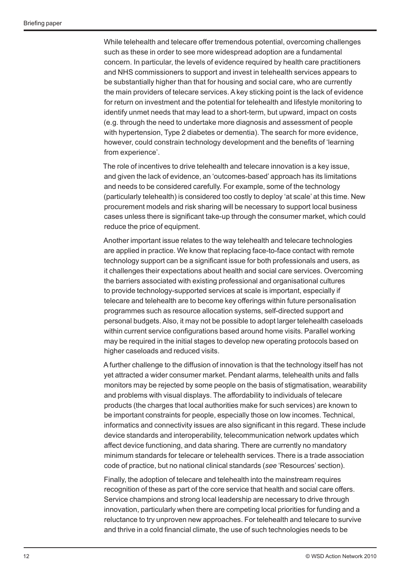While telehealth and telecare offer tremendous potential, overcoming challenges such as these in order to see more widespread adoption are a fundamental concern. In particular, the levels of evidence required by health care practitioners and NHS commissioners to support and invest in telehealth services appears to be substantially higher than that for housing and social care, who are currently the main providers of telecare services. A key sticking point is the lack of evidence for return on investment and the potential for telehealth and lifestyle monitoring to identify unmet needs that may lead to a short-term, but upward, impact on costs (e.g. through the need to undertake more diagnosis and assessment of people with hypertension, Type 2 diabetes or dementia). The search for more evidence, however, could constrain technology development and the benefits of 'learning from experience'.

The role of incentives to drive telehealth and telecare innovation is a key issue, and given the lack of evidence, an 'outcomes-based' approach has its limitations and needs to be considered carefully. For example, some of the technology (particularly telehealth) is considered too costly to deploy 'at scale' at this time. New procurement models and risk sharing will be necessary to support local business cases unless there is significant take-up through the consumer market, which could reduce the price of equipment.

Another important issue relates to the way telehealth and telecare technologies are applied in practice. We know that replacing face-to-face contact with remote technology support can be a significant issue for both professionals and users, as it challenges their expectations about health and social care services. Overcoming the barriers associated with existing professional and organisational cultures to provide technology-supported services at scale is important, especially if telecare and telehealth are to become key offerings within future personalisation programmes such as resource allocation systems, self-directed support and personal budgets. Also, it may not be possible to adopt larger telehealth caseloads within current service configurations based around home visits. Parallel working may be required in the initial stages to develop new operating protocols based on higher caseloads and reduced visits.

A further challenge to the diffusion of innovation is that the technology itself has not yet attracted a wider consumer market. Pendant alarms, telehealth units and falls monitors may be rejected by some people on the basis of stigmatisation, wearability and problems with visual displays. The affordability to individuals of telecare products (the charges that local authorities make for such services) are known to be important constraints for people, especially those on low incomes. Technical, informatics and connectivity issues are also significant in this regard. These include device standards and interoperability, telecommunication network updates which affect device functioning, and data sharing. There are currently no mandatory minimum standards for telecare or telehealth services. There is a trade association code of practice, but no national clinical standards (*see* 'Resources' section).

Finally, the adoption of telecare and telehealth into the mainstream requires recognition of these as part of the core service that health and social care offers. Service champions and strong local leadership are necessary to drive through innovation, particularly when there are competing local priorities for funding and a reluctance to try unproven new approaches. For telehealth and telecare to survive and thrive in a cold financial climate, the use of such technologies needs to be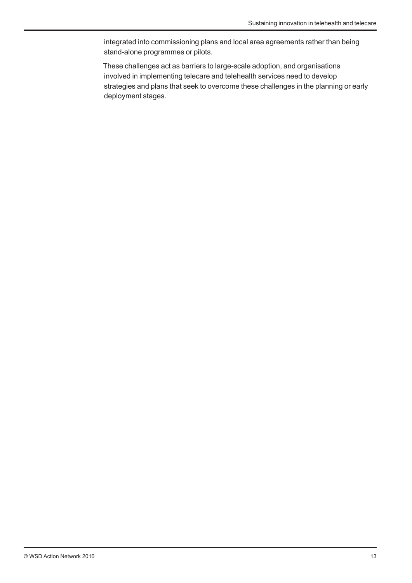integrated into commissioning plans and local area agreements rather than being stand-alone programmes or pilots.

These challenges act as barriers to large-scale adoption, and organisations involved in implementing telecare and telehealth services need to develop strategies and plans that seek to overcome these challenges in the planning or early deployment stages.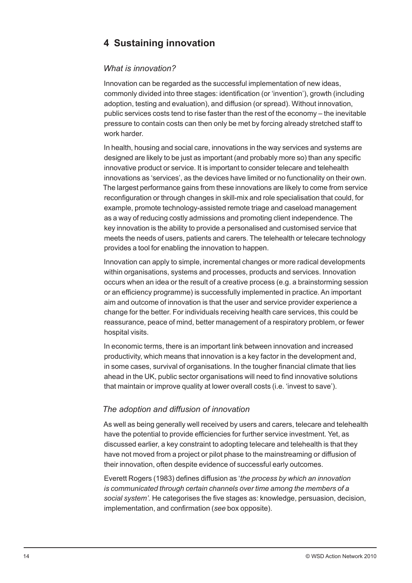## **4 Sustaining innovation**

#### *What is innovation?*

Innovation can be regarded as the successful implementation of new ideas, commonly divided into three stages: identification (or 'invention'), growth (including adoption, testing and evaluation), and diffusion (or spread). Without innovation, public services costs tend to rise faster than the rest of the economy – the inevitable pressure to contain costs can then only be met by forcing already stretched staff to work harder.

In health, housing and social care, innovations in the way services and systems are designed are likely to be just as important (and probably more so) than any specific innovative product or service. It is important to consider telecare and telehealth innovations as 'services', as the devices have limited or no functionality on their own. The largest performance gains from these innovations are likely to come from service reconfiguration or through changes in skill-mix and role specialisation that could, for example, promote technology-assisted remote triage and caseload management as a way of reducing costly admissions and promoting client independence. The key innovation is the ability to provide a personalised and customised service that meets the needs of users, patients and carers. The telehealth or telecare technology provides a tool for enabling the innovation to happen.

Innovation can apply to simple, incremental changes or more radical developments within organisations, systems and processes, products and services. Innovation occurs when an idea or the result of a creative process (e.g. a brainstorming session or an efficiency programme) is successfully implemented in practice. An important aim and outcome of innovation is that the user and service provider experience a change for the better. For individuals receiving health care services, this could be reassurance, peace of mind, better management of a respiratory problem, or fewer hospital visits.

In economic terms, there is an important link between innovation and increased productivity, which means that innovation is a key factor in the development and, in some cases, survival of organisations. In the tougher financial climate that lies ahead in the UK, public sector organisations will need to find innovative solutions that maintain or improve quality at lower overall costs (i.e. 'invest to save').

### *The adoption and diffusion of innovation*

As well as being generally well received by users and carers, telecare and telehealth have the potential to provide efficiencies for further service investment. Yet, as discussed earlier, a key constraint to adopting telecare and telehealth is that they have not moved from a project or pilot phase to the mainstreaming or diffusion of their innovation, often despite evidence of successful early outcomes.

Everett Rogers (1983) defines diffusion as '*the process by which an innovation is communicated through certain channels over time among the members of a social system'.* He categorises the five stages as: knowledge, persuasion, decision, implementation, and confirmation (*see* box opposite).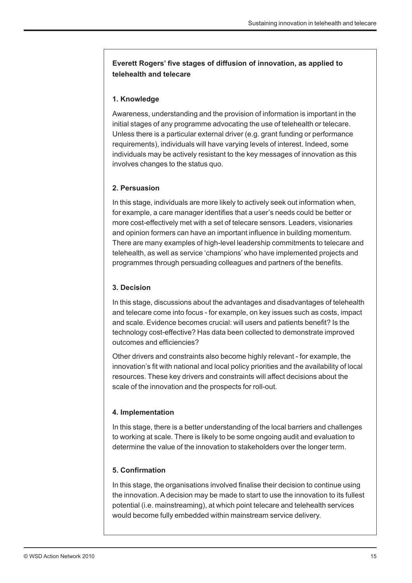### **Everett Rogers' five stages of diffusion of innovation, as applied to telehealth and telecare**

#### **1. Knowledge**

Awareness, understanding and the provision of information is important in the initial stages of any programme advocating the use of telehealth or telecare. Unless there is a particular external driver (e.g. grant funding or performance requirements), individuals will have varying levels of interest. Indeed, some individuals may be actively resistant to the key messages of innovation as this involves changes to the status quo.

#### **2. Persuasion**

In this stage, individuals are more likely to actively seek out information when, for example, a care manager identifies that a user's needs could be better or more cost-effectively met with a set of telecare sensors. Leaders, visionaries and opinion formers can have an important influence in building momentum. There are many examples of high-level leadership commitments to telecare and telehealth, as well as service 'champions' who have implemented projects and programmes through persuading colleagues and partners of the benefits.

#### **3. Decision**

In this stage, discussions about the advantages and disadvantages of telehealth and telecare come into focus - for example, on key issues such as costs, impact and scale. Evidence becomes crucial: will users and patients benefit? Is the technology cost-effective? Has data been collected to demonstrate improved outcomes and efficiencies?

Other drivers and constraints also become highly relevant - for example, the innovation's fit with national and local policy priorities and the availability of local resources. These key drivers and constraints will affect decisions about the scale of the innovation and the prospects for roll-out.

#### **4. Implementation**

In this stage, there is a better understanding of the local barriers and challenges to working at scale. There is likely to be some ongoing audit and evaluation to determine the value of the innovation to stakeholders over the longer term.

#### **5. Confirmation**

In this stage, the organisations involved finalise their decision to continue using the innovation. A decision may be made to start to use the innovation to its fullest potential (i.e. mainstreaming), at which point telecare and telehealth services would become fully embedded within mainstream service delivery.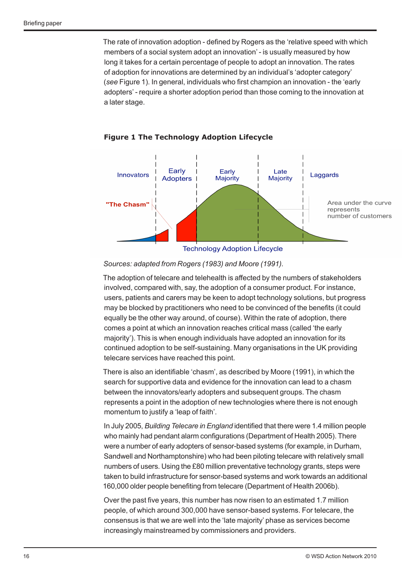The rate of innovation adoption - defined by Rogers as the 'relative speed with which members of a social system adopt an innovation' - is usually measured by how long it takes for a certain percentage of people to adopt an innovation. The rates of adoption for innovations are determined by an individual's 'adopter category' (*see* Figure 1). In general, individuals who first champion an innovation - the 'early adopters' - require a shorter adoption period than those coming to the innovation at a later stage.





#### *Sources: adapted from Rogers (1983) and Moore (1991).*

The adoption of telecare and telehealth is affected by the numbers of stakeholders involved, compared with, say, the adoption of a consumer product. For instance, users, patients and carers may be keen to adopt technology solutions, but progress may be blocked by practitioners who need to be convinced of the benefits (it could equally be the other way around, of course). Within the rate of adoption, there comes a point at which an innovation reaches critical mass (called 'the early majority'). This is when enough individuals have adopted an innovation for its continued adoption to be self-sustaining. Many organisations in the UK providing telecare services have reached this point.

There is also an identifiable 'chasm', as described by Moore (1991), in which the search for supportive data and evidence for the innovation can lead to a chasm between the innovators/early adopters and subsequent groups. The chasm represents a point in the adoption of new technologies where there is not enough momentum to justify a 'leap of faith'.

In July 2005, *Building Telecare in England* identified that there were 1.4 million people who mainly had pendant alarm configurations (Department of Health 2005). There were a number of early adopters of sensor-based systems (for example, in Durham, Sandwell and Northamptonshire) who had been piloting telecare with relatively small numbers of users. Using the £80 million preventative technology grants, steps were taken to build infrastructure for sensor-based systems and work towards an additional 160,000 older people benefiting from telecare (Department of Health 2006b).

Over the past five years, this number has now risen to an estimated 1.7 million people, of which around 300,000 have sensor-based systems. For telecare, the consensus is that we are well into the 'late majority' phase as services become increasingly mainstreamed by commissioners and providers.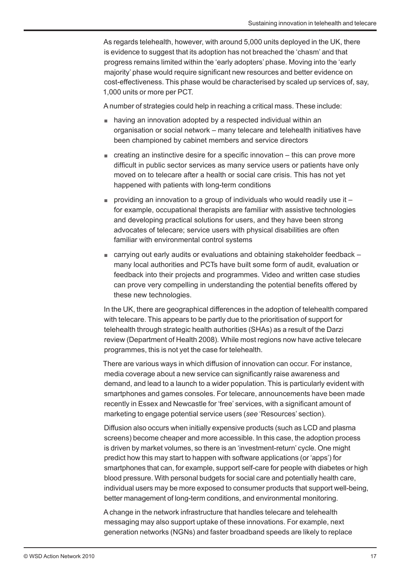As regards telehealth, however, with around 5,000 units deployed in the UK, there is evidence to suggest that its adoption has not breached the 'chasm' and that progress remains limited within the 'early adopters' phase. Moving into the 'early majority' phase would require significant new resources and better evidence on cost-effectiveness. This phase would be characterised by scaled up services of, say, 1,000 units or more per PCT.

A number of strategies could help in reaching a critical mass. These include:

- having an innovation adopted by a respected individual within an organisation or social network – many telecare and telehealth initiatives have been championed by cabinet members and service directors
- $\blacksquare$  creating an instinctive desire for a specific innovation this can prove more difficult in public sector services as many service users or patients have only moved on to telecare after a health or social care crisis. This has not yet happened with patients with long-term conditions
- $\blacksquare$  providing an innovation to a group of individuals who would readily use it  $\blacksquare$ for example, occupational therapists are familiar with assistive technologies and developing practical solutions for users, and they have been strong advocates of telecare; service users with physical disabilities are often familiar with environmental control systems
- $\Box$  carrying out early audits or evaluations and obtaining stakeholder feedback  $\Box$ many local authorities and PCTs have built some form of audit, evaluation or feedback into their projects and programmes. Video and written case studies can prove very compelling in understanding the potential benefits offered by these new technologies.

In the UK, there are geographical differences in the adoption of telehealth compared with telecare. This appears to be partly due to the prioritisation of support for telehealth through strategic health authorities (SHAs) as a result of the Darzi review (Department of Health 2008)*.* While most regions now have active telecare programmes, this is not yet the case for telehealth.

There are various ways in which diffusion of innovation can occur. For instance, media coverage about a new service can significantly raise awareness and demand, and lead to a launch to a wider population. This is particularly evident with smartphones and games consoles. For telecare, announcements have been made recently in Essex and Newcastle for 'free' services, with a significant amount of marketing to engage potential service users (*see* 'Resources' section).

Diffusion also occurs when initially expensive products (such as LCD and plasma screens) become cheaper and more accessible. In this case, the adoption process is driven by market volumes, so there is an 'investment-return' cycle. One might predict how this may start to happen with software applications (or 'apps') for smartphones that can, for example, support self-care for people with diabetes or high blood pressure. With personal budgets for social care and potentially health care, individual users may be more exposed to consumer products that support well-being, better management of long-term conditions, and environmental monitoring.

A change in the network infrastructure that handles telecare and telehealth messaging may also support uptake of these innovations. For example, next generation networks (NGNs) and faster broadband speeds are likely to replace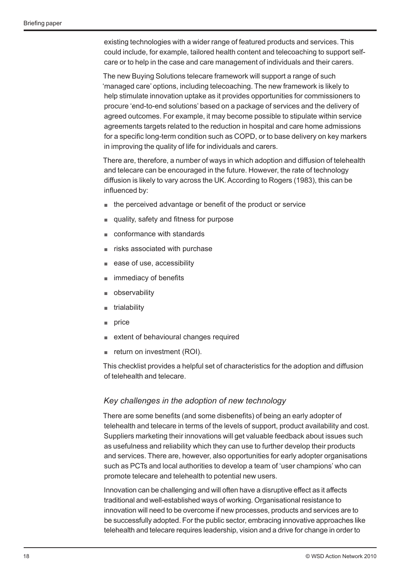existing technologies with a wider range of featured products and services. This could include, for example, tailored health content and telecoaching to support selfcare or to help in the case and care management of individuals and their carers.

The new Buying Solutions telecare framework will support a range of such 'managed care' options, including telecoaching. The new framework is likely to help stimulate innovation uptake as it provides opportunities for commissioners to procure 'end-to-end solutions' based on a package of services and the delivery of agreed outcomes. For example, it may become possible to stipulate within service agreements targets related to the reduction in hospital and care home admissions for a specific long-term condition such as COPD, or to base delivery on key markers in improving the quality of life for individuals and carers.

There are, therefore, a number of ways in which adoption and diffusion of telehealth and telecare can be encouraged in the future. However, the rate of technology diffusion is likely to vary across the UK. According to Rogers (1983), this can be influenced by:

- the perceived advantage or benefit of the product or service
- quality, safety and fitness for purpose
- conformance with standards
- risks associated with purchase
- ease of use, accessibility
- immediacy of benefits
- **observability**
- trialability
- price
- extent of behavioural changes required
- return on investment (ROI).

This checklist provides a helpful set of characteristics for the adoption and diffusion of telehealth and telecare.

#### *Key challenges in the adoption of new technology*

There are some benefits (and some disbenefits) of being an early adopter of telehealth and telecare in terms of the levels of support, product availability and cost. Suppliers marketing their innovations will get valuable feedback about issues such as usefulness and reliability which they can use to further develop their products and services. There are, however, also opportunities for early adopter organisations such as PCTs and local authorities to develop a team of 'user champions' who can promote telecare and telehealth to potential new users.

Innovation can be challenging and will often have a disruptive effect as it affects traditional and well-established ways of working. Organisational resistance to innovation will need to be overcome if new processes, products and services are to be successfully adopted. For the public sector, embracing innovative approaches like telehealth and telecare requires leadership, vision and a drive for change in order to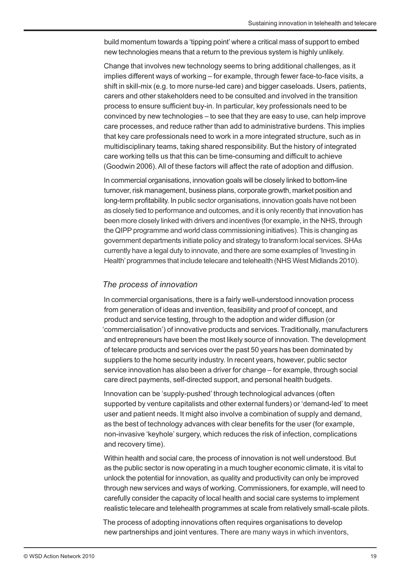build momentum towards a 'tipping point' where a critical mass of support to embed new technologies means that a return to the previous system is highly unlikely.

Change that involves new technology seems to bring additional challenges, as it implies different ways of working – for example, through fewer face-to-face visits, a shift in skill-mix (e.g. to more nurse-led care) and bigger caseloads. Users, patients, carers and other stakeholders need to be consulted and involved in the transition process to ensure sufficient buy-in. In particular, key professionals need to be convinced by new technologies – to see that they are easy to use, can help improve care processes, and reduce rather than add to administrative burdens. This implies that key care professionals need to work in a more integrated structure, such as in multidisciplinary teams, taking shared responsibility. But the history of integrated care working tells us that this can be time-consuming and difficult to achieve (Goodwin 2006). All of these factors will affect the rate of adoption and diffusion.

In commercial organisations, innovation goals will be closely linked to bottom-line turnover, risk management, business plans, corporate growth, market position and long-term profitability. In public sector organisations, innovation goals have not been as closely tied to performance and outcomes, and it is only recently that innovation has been more closely linked with drivers and incentives (for example, in the NHS, through the QIPP programme and world class commissioning initiatives). This is changing as government departments initiate policy and strategy to transform local services. SHAs currently have a legal duty to innovate, and there are some examples of 'Investing in Health' programmes that include telecare and telehealth (NHS West Midlands 2010).

#### *The process of innovation*

In commercial organisations, there is a fairly well-understood innovation process from generation of ideas and invention, feasibility and proof of concept, and product and service testing, through to the adoption and wider diffusion (or 'commercialisation') of innovative products and services. Traditionally, manufacturers and entrepreneurs have been the most likely source of innovation. The development of telecare products and services over the past 50 years has been dominated by suppliers to the home security industry. In recent years, however, public sector service innovation has also been a driver for change – for example, through social care direct payments, self-directed support, and personal health budgets.

Innovation can be 'supply-pushed' through technological advances (often supported by venture capitalists and other external funders) or 'demand-led' to meet user and patient needs. It might also involve a combination of supply and demand, as the best of technology advances with clear benefits for the user (for example, non-invasive 'keyhole' surgery, which reduces the risk of infection, complications and recovery time).

Within health and social care, the process of innovation is not well understood. But as the public sector is now operating in a much tougher economic climate, it is vital to unlock the potential for innovation, as quality and productivity can only be improved through new services and ways of working. Commissioners, for example, will need to carefully consider the capacity of local health and social care systems to implement realistic telecare and telehealth programmes at scale from relatively small-scale pilots.

The process of adopting innovations often requires organisations to develop new partnerships and joint ventures. There are many ways in which inventors,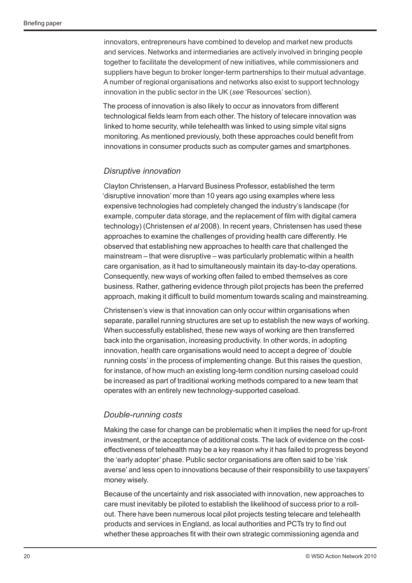innovators, entrepreneurs have combined to develop and market new products and services. Networks and intermediaries are actively involved in bringing people together to facilitate the development of new initiatives, while commissioners and suppliers have begun to broker longer-term partnerships to their mutual advantage. A number of regional organisations and networks also exist to support technology innovation in the public sector in the UK (*see* 'Resources' section).

The process of innovation is also likely to occur as innovators from different technological fields learn from each other. The history of telecare innovation was linked to home security, while telehealth was linked to using simple vital signs monitoring. As mentioned previously, both these approaches could benefit from innovations in consumer products such as computer games and smartphones.

#### *Disruptive innovation*

Clayton Christensen, a Harvard Business Professor, established the term 'disruptive innovation' more than 10 years ago using examples where less expensive technologies had completely changed the industry's landscape (for example, computer data storage, and the replacement of film with digital camera technology) (Christensen *et al* 2008). In recent years, Christensen has used these approaches to examine the challenges of providing health care differently. He observed that establishing new approaches to health care that challenged the mainstream – that were disruptive – was particularly problematic within a health care organisation, as it had to simultaneously maintain its day-to-day operations. Consequently, new ways of working often failed to embed themselves as core business. Rather, gathering evidence through pilot projects has been the preferred approach, making it difficult to build momentum towards scaling and mainstreaming.

Christensen's view is that innovation can only occur within organisations when separate, parallel running structures are set up to establish the new ways of working. When successfully established, these new ways of working are then transferred back into the organisation, increasing productivity. In other words, in adopting innovation, health care organisations would need to accept a degree of 'double running costs' in the process of implementing change. But this raises the question, for instance, of how much an existing long-term condition nursing caseload could be increased as part of traditional working methods compared to a new team that operates with an entirely new technology-supported caseload.

#### *Double-running costs*

Making the case for change can be problematic when it implies the need for up-front investment, or the acceptance of additional costs. The lack of evidence on the costeffectiveness of telehealth may be a key reason why it has failed to progress beyond the 'early adopter' phase. Public sector organisations are often said to be 'risk averse' and less open to innovations because of their responsibility to use taxpayers' money wisely.

Because of the uncertainty and risk associated with innovation, new approaches to care must inevitably be piloted to establish the likelihood of success prior to a rollout. There have been numerous local pilot projects testing telecare and telehealth products and services in England, as local authorities and PCTs try to find out whether these approaches fit with their own strategic commissioning agenda and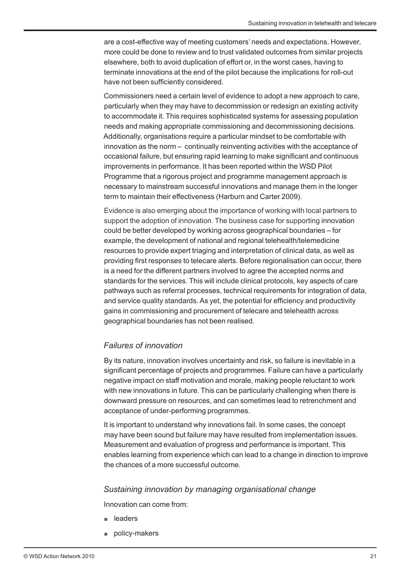are a cost-effective way of meeting customers' needs and expectations. However, more could be done to review and to trust validated outcomes from similar projects elsewhere, both to avoid duplication of effort or, in the worst cases, having to terminate innovations at the end of the pilot because the implications for roll-out have not been sufficiently considered.

Commissioners need a certain level of evidence to adopt a new approach to care, particularly when they may have to decommission or redesign an existing activity to accommodate it. This requires sophisticated systems for assessing population needs and making appropriate commissioning and decommissioning decisions. Additionally, organisations require a particular mindset to be comfortable with innovation as the norm – continually reinventing activities with the acceptance of occasional failure, but ensuring rapid learning to make significant and continuous improvements in performance. It has been reported within the WSD Pilot Programme that a rigorous project and programme management approach is necessary to mainstream successful innovations and manage them in the longer term to maintain their effectiveness (Harburn and Carter 2009).

Evidence is also emerging about the importance of working with local partners to support the adoption of innovation. The business case for supporting innovation could be better developed by working across geographical boundaries – for example, the development of national and regional telehealth/telemedicine resources to provide expert triaging and interpretation of clinical data, as well as providing first responses to telecare alerts. Before regionalisation can occur, there is a need for the different partners involved to agree the accepted norms and standards for the services. This will include clinical protocols, key aspects of care pathways such as referral processes, technical requirements for integration of data, and service quality standards. As yet, the potential for efficiency and productivity gains in commissioning and procurement of telecare and telehealth across geographical boundaries has not been realised.

#### *Failures of innovation*

By its nature, innovation involves uncertainty and risk, so failure is inevitable in a significant percentage of projects and programmes. Failure can have a particularly negative impact on staff motivation and morale, making people reluctant to work with new innovations in future. This can be particularly challenging when there is downward pressure on resources, and can sometimes lead to retrenchment and acceptance of under-performing programmes.

It is important to understand why innovations fail. In some cases, the concept may have been sound but failure may have resulted from implementation issues. Measurement and evaluation of progress and performance is important. This enables learning from experience which can lead to a change in direction to improve the chances of a more successful outcome.

#### *Sustaining innovation by managing organisational change*

Innovation can come from:

- leaders
- policy-makers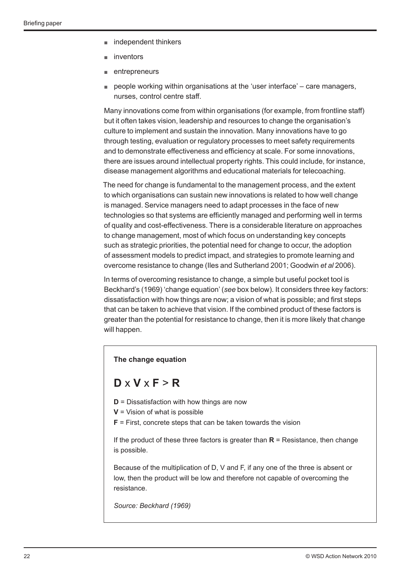- independent thinkers
- inventors
- entrepreneurs
- people working within organisations at the 'user interface' care managers, nurses, control centre staff.

Many innovations come from within organisations (for example, from frontline staff) but it often takes vision, leadership and resources to change the organisation's culture to implement and sustain the innovation. Many innovations have to go through testing, evaluation or regulatory processes to meet safety requirements and to demonstrate effectiveness and efficiency at scale. For some innovations, there are issues around intellectual property rights. This could include, for instance, disease management algorithms and educational materials for telecoaching.

The need for change is fundamental to the management process, and the extent to which organisations can sustain new innovations is related to how well change is managed. Service managers need to adapt processes in the face of new technologies so that systems are efficiently managed and performing well in terms of quality and cost-effectiveness. There is a considerable literature on approaches to change management, most of which focus on understanding key concepts such as strategic priorities, the potential need for change to occur, the adoption of assessment models to predict impact, and strategies to promote learning and overcome resistance to change (Iles and Sutherland 2001; Goodwin *et al* 2006).

In terms of overcoming resistance to change, a simple but useful pocket tool is Beckhard's (1969) 'change equation' (*see* box below). It considers three key factors: dissatisfaction with how things are now; a vision of what is possible; and first steps that can be taken to achieve that vision. If the combined product of these factors is greater than the potential for resistance to change, then it is more likely that change will happen.

#### **The change equation**

## **D** x **V** x **F** > **R**

- **D** = Dissatisfaction with how things are now
- **V** = Vision of what is possible
- **F** = First, concrete steps that can be taken towards the vision

If the product of these three factors is greater than **R** = Resistance, then change is possible.

Because of the multiplication of D, V and F, if any one of the three is absent or low, then the product will be low and therefore not capable of overcoming the resistance.

*Source: Beckhard (1969)*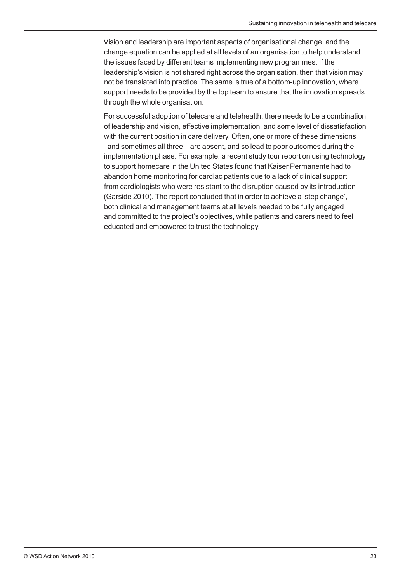Vision and leadership are important aspects of organisational change, and the change equation can be applied at all levels of an organisation to help understand the issues faced by different teams implementing new programmes. If the leadership's vision is not shared right across the organisation, then that vision may not be translated into practice. The same is true of a bottom-up innovation, where support needs to be provided by the top team to ensure that the innovation spreads through the whole organisation.

For successful adoption of telecare and telehealth, there needs to be a combination of leadership and vision, effective implementation, and some level of dissatisfaction with the current position in care delivery. Often, one or more of these dimensions – and sometimes all three – are absent, and so lead to poor outcomes during the implementation phase. For example, a recent study tour report on using technology to support homecare in the United States found that Kaiser Permanente had to abandon home monitoring for cardiac patients due to a lack of clinical support from cardiologists who were resistant to the disruption caused by its introduction (Garside 2010). The report concluded that in order to achieve a 'step change', both clinical and management teams at all levels needed to be fully engaged and committed to the project's objectives, while patients and carers need to feel educated and empowered to trust the technology.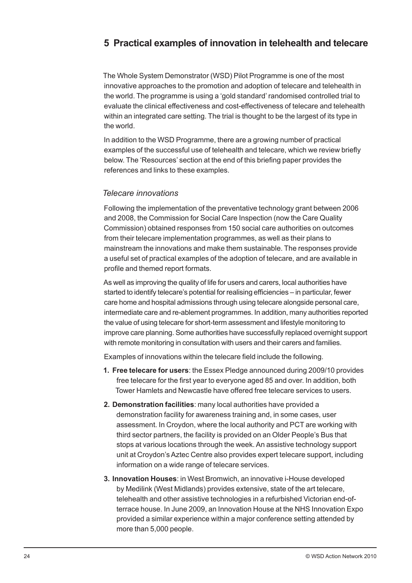## **5 Practical examples of innovation in telehealth and telecare**

The Whole System Demonstrator (WSD) Pilot Programme is one of the most innovative approaches to the promotion and adoption of telecare and telehealth in the world. The programme is using a 'gold standard' randomised controlled trial to evaluate the clinical effectiveness and cost-effectiveness of telecare and telehealth within an integrated care setting. The trial is thought to be the largest of its type in the world.

In addition to the WSD Programme, there are a growing number of practical examples of the successful use of telehealth and telecare, which we review briefly below. The 'Resources' section at the end of this briefing paper provides the references and links to these examples.

#### *Telecare innovations*

Following the implementation of the preventative technology grant between 2006 and 2008, the Commission for Social Care Inspection (now the Care Quality Commission) obtained responses from 150 social care authorities on outcomes from their telecare implementation programmes, as well as their plans to mainstream the innovations and make them sustainable. The responses provide a useful set of practical examples of the adoption of telecare, and are available in profile and themed report formats.

As well as improving the quality of life for users and carers, local authorities have started to identify telecare's potential for realising efficiencies – in particular, fewer care home and hospital admissions through using telecare alongside personal care, intermediate care and re-ablement programmes. In addition, many authorities reported the value of using telecare for short-term assessment and lifestyle monitoring to improve care planning. Some authorities have successfully replaced overnight support with remote monitoring in consultation with users and their carers and families.

Examples of innovations within the telecare field include the following.

- **1. Free telecare for users**: the Essex Pledge announced during 2009/10 provides free telecare for the first year to everyone aged 85 and over. In addition, both Tower Hamlets and Newcastle have offered free telecare services to users.
- **2. Demonstration facilities**: many local authorities have provided a demonstration facility for awareness training and, in some cases, user assessment. In Croydon, where the local authority and PCT are working with third sector partners, the facility is provided on an Older People's Bus that stops at various locations through the week. An assistive technology support unit at Croydon's Aztec Centre also provides expert telecare support, including information on a wide range of telecare services.
- **3. Innovation Houses**: in West Bromwich, an innovative i-House developed by Medilink (West Midlands) provides extensive, state of the art telecare, telehealth and other assistive technologies in a refurbished Victorian end-ofterrace house. In June 2009, an Innovation House at the NHS Innovation Expo provided a similar experience within a major conference setting attended by more than 5,000 people.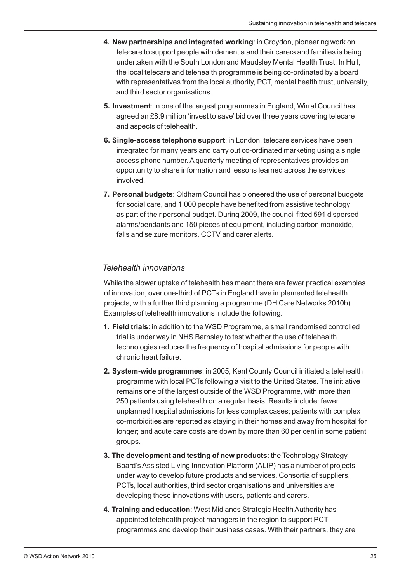- **4. New partnerships and integrated working**: in Croydon, pioneering work on telecare to support people with dementia and their carers and families is being undertaken with the South London and Maudsley Mental Health Trust. In Hull, the local telecare and telehealth programme is being co-ordinated by a board with representatives from the local authority, PCT, mental health trust, university, and third sector organisations.
- **5. Investment**: in one of the largest programmes in England, Wirral Council has agreed an £8.9 million 'invest to save' bid over three years covering telecare and aspects of telehealth.
- **6. Single-access telephone support**: in London, telecare services have been integrated for many years and carry out co-ordinated marketing using a single access phone number. A quarterly meeting of representatives provides an opportunity to share information and lessons learned across the services involved.
- **7. Personal budgets**: Oldham Council has pioneered the use of personal budgets for social care, and 1,000 people have benefited from assistive technology as part of their personal budget. During 2009, the council fitted 591 dispersed alarms/pendants and 150 pieces of equipment, including carbon monoxide, falls and seizure monitors, CCTV and carer alerts.

#### *Telehealth innovations*

While the slower uptake of telehealth has meant there are fewer practical examples of innovation, over one-third of PCTs in England have implemented telehealth projects, with a further third planning a programme (DH Care Networks 2010b). Examples of telehealth innovations include the following.

- **1. Field trials**: in addition to the WSD Programme, a small randomised controlled trial is under way in NHS Barnsley to test whether the use of telehealth technologies reduces the frequency of hospital admissions for people with chronic heart failure.
- **2. System-wide programmes**: in 2005, Kent County Council initiated a telehealth programme with local PCTs following a visit to the United States. The initiative remains one of the largest outside of the WSD Programme, with more than 250 patients using telehealth on a regular basis. Results include: fewer unplanned hospital admissions for less complex cases; patients with complex co-morbidities are reported as staying in their homes and away from hospital for longer; and acute care costs are down by more than 60 per cent in some patient groups.
- **3. The development and testing of new products**: the Technology Strategy Board's Assisted Living Innovation Platform (ALIP) has a number of projects under way to develop future products and services. Consortia of suppliers, PCTs, local authorities, third sector organisations and universities are developing these innovations with users, patients and carers.
- **4. Training and education**: West Midlands Strategic Health Authority has appointed telehealth project managers in the region to support PCT programmes and develop their business cases. With their partners, they are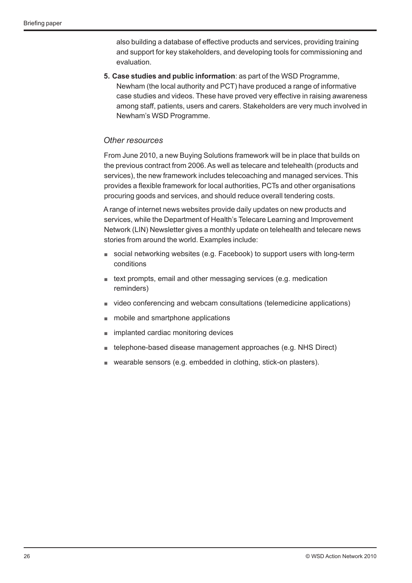also building a database of effective products and services, providing training and support for key stakeholders, and developing tools for commissioning and evaluation.

**5. Case studies and public information**: as part of the WSD Programme, Newham (the local authority and PCT) have produced a range of informative case studies and videos. These have proved very effective in raising awareness among staff, patients, users and carers. Stakeholders are very much involved in Newham's WSD Programme.

#### *Other resources*

From June 2010, a new Buying Solutions framework will be in place that builds on the previous contract from 2006. As well as telecare and telehealth (products and services), the new framework includes telecoaching and managed services. This provides a flexible framework for local authorities, PCTs and other organisations procuring goods and services, and should reduce overall tendering costs.

A range of internet news websites provide daily updates on new products and services, while the Department of Health's Telecare Learning and Improvement Network (LIN) Newsletter gives a monthly update on telehealth and telecare news stories from around the world. Examples include:

- social networking websites (e.g. Facebook) to support users with long-term conditions
- text prompts, email and other messaging services (e.g. medication reminders)
- video conferencing and webcam consultations (telemedicine applications)
- mobile and smartphone applications
- implanted cardiac monitoring devices
- telephone-based disease management approaches (e.g. NHS Direct)
- wearable sensors (e.g. embedded in clothing, stick-on plasters).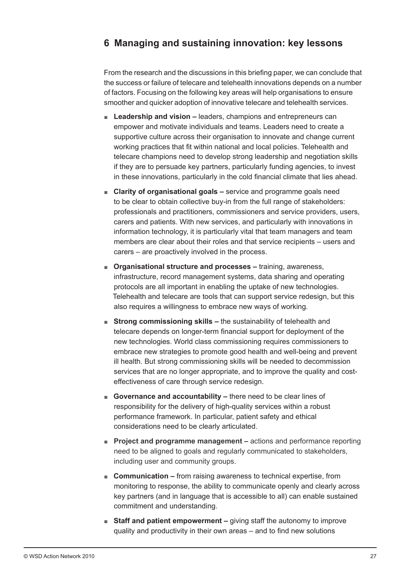## **6 Managing and sustaining innovation: key lessons**

From the research and the discussions in this briefing paper, we can conclude that the success or failure of telecare and telehealth innovations depends on a number of factors. Focusing on the following key areas will help organisations to ensure smoother and quicker adoption of innovative telecare and telehealth services.

- Leadership and vision leaders, champions and entrepreneurs can empower and motivate individuals and teams. Leaders need to create a supportive culture across their organisation to innovate and change current working practices that fit within national and local policies. Telehealth and telecare champions need to develop strong leadership and negotiation skills if they are to persuade key partners, particularly funding agencies, to invest in these innovations, particularly in the cold financial climate that lies ahead.
- **Clarity of organisational goals** service and programme goals need to be clear to obtain collective buy-in from the full range of stakeholders: professionals and practitioners, commissioners and service providers, users, carers and patients. With new services, and particularly with innovations in information technology, it is particularly vital that team managers and team members are clear about their roles and that service recipients – users and carers – are proactively involved in the process.
- **Organisational structure and processes** training, awareness, infrastructure, record management systems, data sharing and operating protocols are all important in enabling the uptake of new technologies. Telehealth and telecare are tools that can support service redesign, but this also requires a willingness to embrace new ways of working.
- **Strong commissioning skills** the sustainability of telehealth and telecare depends on longer-term financial support for deployment of the new technologies. World class commissioning requires commissioners to embrace new strategies to promote good health and well-being and prevent ill health. But strong commissioning skills will be needed to decommission services that are no longer appropriate, and to improve the quality and costeffectiveness of care through service redesign.
- **Governance and accountability –** there need to be clear lines of responsibility for the delivery of high-quality services within a robust performance framework. In particular, patient safety and ethical considerations need to be clearly articulated.
- **Project and programme management** actions and performance reporting need to be aligned to goals and regularly communicated to stakeholders, including user and community groups.
- **Communication –** from raising awareness to technical expertise, from monitoring to response, the ability to communicate openly and clearly across key partners (and in language that is accessible to all) can enable sustained commitment and understanding.
- **Staff and patient empowerment** giving staff the autonomy to improve quality and productivity in their own areas – and to find new solutions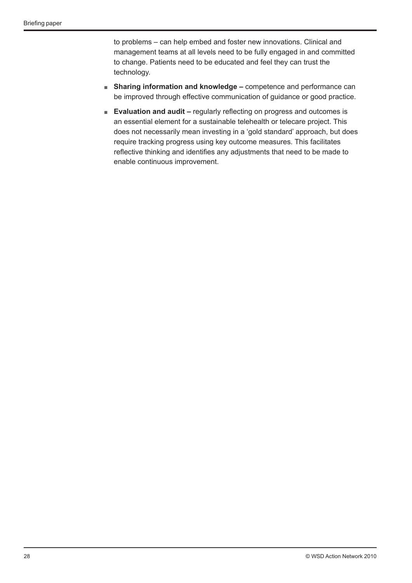to problems – can help embed and foster new innovations. Clinical and management teams at all levels need to be fully engaged in and committed to change. Patients need to be educated and feel they can trust the technology.

- **Sharing information and knowledge –** competence and performance can be improved through effective communication of guidance or good practice.
- **Evaluation and audit** regularly reflecting on progress and outcomes is an essential element for a sustainable telehealth or telecare project. This does not necessarily mean investing in a 'gold standard' approach, but does require tracking progress using key outcome measures. This facilitates reflective thinking and identifies any adjustments that need to be made to enable continuous improvement.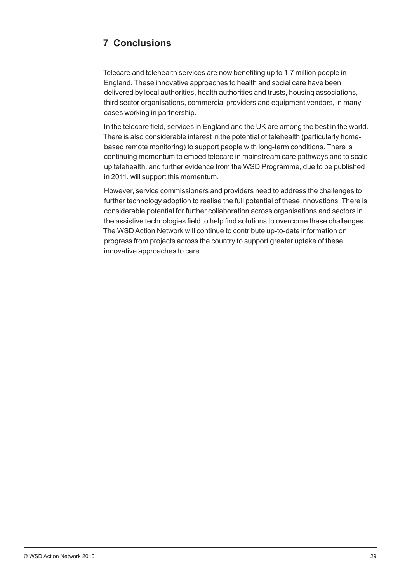## **7 Conclusions**

Telecare and telehealth services are now benefiting up to 1.7 million people in England. These innovative approaches to health and social care have been delivered by local authorities, health authorities and trusts, housing associations, third sector organisations, commercial providers and equipment vendors, in many cases working in partnership.

In the telecare field, services in England and the UK are among the best in the world. There is also considerable interest in the potential of telehealth (particularly homebased remote monitoring) to support people with long-term conditions. There is continuing momentum to embed telecare in mainstream care pathways and to scale up telehealth, and further evidence from the WSD Programme, due to be published in 2011, will support this momentum.

However, service commissioners and providers need to address the challenges to further technology adoption to realise the full potential of these innovations. There is considerable potential for further collaboration across organisations and sectors in the assistive technologies field to help find solutions to overcome these challenges. The WSD Action Network will continue to contribute up-to-date information on progress from projects across the country to support greater uptake of these innovative approaches to care.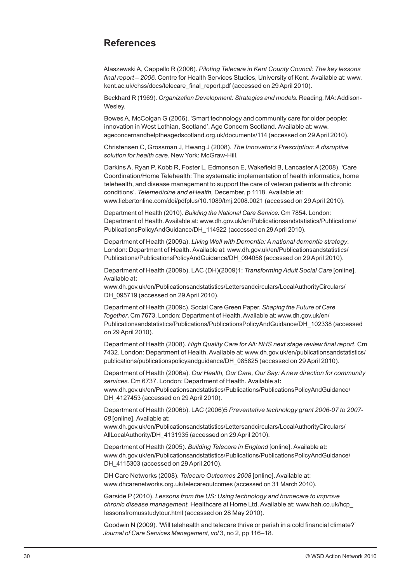## **References**

Alaszewski A, Cappello R (2006). *Piloting Telecare in Kent County Council: The key lessons final report – 2006.* Centre for Health Services Studies, University of Kent. Available at: www. kent.ac.uk/chss/docs/telecare\_final\_report.pdf (accessed on 29 April 2010).

Beckhard R (1969). *Organization Development: Strategies and models.* Reading, MA: Addison-Wesley.

Bowes A, McColgan G (2006). 'Smart technology and community care for older people: innovation in West Lothian, Scotland'. Age Concern Scotland*.* Available at: www. ageconcernandhelptheagedscotland.org.uk/documents/114 (accessed on 29 April 2010).

Christensen C, Grossman J, Hwang J (2008). *The Innovator's Prescription: A disruptive solution for health care.* New York: McGraw-Hill.

Darkins A, Ryan P, Kobb R, Foster L, Edmonson E, Wakefield B, Lancaster A (2008). *'*Care Coordination/Home Telehealth: The systematic implementation of health informatics, home telehealth, and disease management to support the care of veteran patients with chronic conditions'. *Telemedicine and eHealth,* December, p 1118*.* Available at: www.liebertonline.com/doi/pdfplus/10.1089/tmj.2008.0021 (accessed on 29 April 2010).

Department of Health (2010). *Building the National Care Service***.** Cm 7854. London: Department of Health. Available at: www.dh.gov.uk/en/Publicationsandstatistics/Publications/ PublicationsPolicyAndGuidance/DH\_114922 (accessed on 29 April 2010).

Department of Health (2009a). *Living Well with Dementia: A national dementia strategy*. London: Department of Health. Available at: www.dh.gov.uk/en/Publicationsandstatistics/ Publications/PublicationsPolicyAndGuidance/DH\_094058 (accessed on 29 April 2010).

Department of Health (2009b). LAC (DH)(2009)1: *Transforming Adult Social Care* [online]. Available at**:**

www.dh.gov.uk/en/Publicationsandstatistics/Lettersandcirculars/LocalAuthorityCirculars/ DH 095719 (accessed on 29 April 2010).

Department of Health (2009c). Social Care Green Paper. *Shaping the Future of Care Together***.** Cm 7673. London: Department of Health. Available at: www.dh.gov.uk/en/ Publicationsandstatistics/Publications/PublicationsPolicyAndGuidance/DH\_102338 (accessed on 29 April 2010).

Department of Health (2008). *High Quality Care for All: NHS next stage review final report*. Cm 7432. London: Department of Health. Available at: www.dh.gov.uk/en/publicationsandstatistics/ publications/publicationspolicyandguidance/DH\_085825 (accessed on 29 April 2010).

Department of Health (2006a). *Our Health, Our Care, Our Say: A new direction for community services*. Cm 6737. London: Department of Health. Available at**:** www.dh.gov.uk/en/Publicationsandstatistics/Publications/PublicationsPolicyAndGuidance/ DH\_4127453 (accessed on 29 April 2010).

Department of Health (2006b). LAC (2006)5 *Preventative technology grant 2006-07 to 2007- 08* [online]. Available at**:**

www.dh.gov.uk/en/Publicationsandstatistics/Lettersandcirculars/LocalAuthorityCirculars/ AllLocalAuthority/DH\_4131935 (accessed on 29 April 2010).

Department of Health (2005). *Building Telecare in England* [online]. Available at**:** www.dh.gov.uk/en/Publicationsandstatistics/Publications/PublicationsPolicyAndGuidance/ DH\_4115303 (accessed on 29 April 2010).

DH Care Networks (2008). *Telecare Outcomes 2008* [online]. Available at: www.dhcarenetworks.org.uk/telecareoutcomes (accessed on 31 March 2010).

Garside P (2010). *Lessons from the US: Using technology and homecare to improve chronic disease management.* Healthcare at Home Ltd. Available at: www.hah.co.uk/hcp\_ lessonsfromusstudytour.html (accessed on 28 May 2010).

Goodwin N (2009). 'Will telehealth and telecare thrive or perish in a cold financial climate?' *Journal of Care Services Management, vol* 3, no 2, pp 116–18.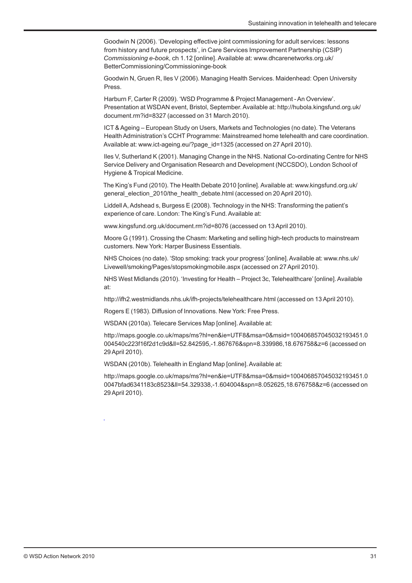Goodwin N (2006). 'Developing effective joint commissioning for adult services: lessons from history and future prospects', in Care Services Improvement Partnership (CSIP) *Commissioning e-book*, ch 1.12 [online]. Available at: www.dhcarenetworks.org.uk/ BetterCommissioning/Commissioninge-book

Goodwin N, Gruen R, Iles V (2006). Managing Health Services. Maidenhead: Open University Press.

Harburn F, Carter R (2009). 'WSD Programme & Project Management - An Overview'. Presentation at WSDAN event, Bristol, September. Available at: http://hubola.kingsfund.org.uk/ document.rm?id=8327 (accessed on 31 March 2010).

ICT & Ageing – European Study on Users, Markets and Technologies (no date). The Veterans Health Administration's CCHT Programme: Mainstreamed home telehealth and care coordination. Available at: www.ict-ageing.eu/?page\_id=1325 (accessed on 27 April 2010).

Iles V, Sutherland K (2001). Managing Change in the NHS. National Co-ordinating Centre for NHS Service Delivery and Organisation Research and Development (NCCSDO), London School of Hygiene & Tropical Medicine.

The King's Fund (2010). The Health Debate 2010 [online]. Available at: www.kingsfund.org.uk/ general\_election\_2010/the\_health\_debate.html (accessed on 20 April 2010).

Liddell A, Adshead s, Burgess E (2008). Technology in the NHS: Transforming the patient's experience of care. London: The King's Fund. Available at:

www.kingsfund.org.uk/document.rm?id=8076 (accessed on 13 April 2010).

Moore G (1991). Crossing the Chasm: Marketing and selling high-tech products to mainstream customers. New York: Harper Business Essentials.

NHS Choices (no date). 'Stop smoking: track your progress' [online]. Available at: www.nhs.uk/ Livewell/smoking/Pages/stopsmokingmobile.aspx (accessed on 27 April 2010).

NHS West Midlands (2010). 'Investing for Health – Project 3c, Telehealthcare' [online]. Available at:

http://ifh2.westmidlands.nhs.uk/ifh-projects/telehealthcare.html (accessed on 13 April 2010).

Rogers E (1983). Diffusion of Innovations. New York: Free Press.

WSDAN (2010a). Telecare Services Map [online]. Available at:

http://maps.google.co.uk/maps/ms?hl=en&ie=UTF8&msa=0&msid=100406857045032193451.0 004540c223f16f2d1c9d&ll=52.842595,-1.867676&spn=8.339986,18.676758&z=6 (accessed on 29 April 2010).

WSDAN (2010b). Telehealth in England Map [online]. Available at:

http://maps.google.co.uk/maps/ms?hl=en&ie=UTF8&msa=0&msid=100406857045032193451.0 0047bfad6341183c8523&ll=54.329338,-1.604004&spn=8.052625,18.676758&z=6 (accessed on 29 April 2010).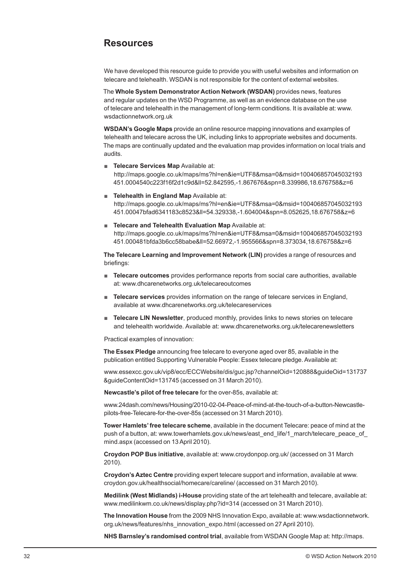## **Resources**

We have developed this resource guide to provide you with useful websites and information on telecare and telehealth. WSDAN is not responsible for the content of external websites.

The **Whole System Demonstrator Action Network (WSDAN)** provides news, features and regular updates on the WSD Programme, as well as an evidence database on the use of telecare and telehealth in the management of long-term conditions. It is available at: www. wsdactionnetwork.org.uk

**WSDAN's Google Maps** provide an online resource mapping innovations and examples of telehealth and telecare across the UK, including links to appropriate websites and documents. The maps are continually updated and the evaluation map provides information on local trials and audits.

- **Example 2** Telecare Services Map Available at: http://maps.google.co.uk/maps/ms?hl=en&ie=UTF8&msa=0&msid=100406857045032193 451.0004540c223f16f2d1c9d&ll=52.842595,-1.867676&spn=8.339986,18.676758&z=6
- **Telehealth in England Map** Available at: http://maps.google.co.uk/maps/ms?hl=en&ie=UTF8&msa=0&msid=100406857045032193 451.00047bfad6341183c8523&ll=54.329338,-1.604004&spn=8.052625,18.676758&z=6
- **Telecare and Telehealth Evaluation Map** Available at: http://maps.google.co.uk/maps/ms?hl=en&ie=UTF8&msa=0&msid=100406857045032193 451.000481bfda3b6cc58babe&ll=52.66972,-1.955566&spn=8.373034,18.676758&z=6

**The Telecare Learning and Improvement Network (LIN)** provides a range of resources and briefings:

- **Telecare outcomes** provides performance reports from social care authorities, available at: www.dhcarenetworks.org.uk/telecareoutcomes
- **Telecare services** provides information on the range of telecare services in England, available at www.dhcarenetworks.org.uk/telecareservices
- **Telecare LIN Newsletter**, produced monthly, provides links to news stories on telecare and telehealth worldwide. Available at: www.dhcarenetworks.org.uk/telecarenewsletters

Practical examples of innovation:

**The Essex Pledge** announcing free telecare to everyone aged over 85, available in the publication entitled Supporting Vulnerable People: Essex telecare pledge. Available at:

www.essexcc.gov.uk/vip8/ecc/ECCWebsite/dis/guc.jsp?channelOid=120888&guideOid=131737 &guideContentOid=131745 (accessed on 31 March 2010).

**Newcastle's pilot of free telecare** for the over-85s, available at:

www.24dash.com/news/Housing/2010-02-04-Peace-of-mind-at-the-touch-of-a-button-Newcastlepilots-free-Telecare-for-the-over-85s (accessed on 31 March 2010).

**Tower Hamlets' free telecare scheme**, available in the document Telecare: peace of mind at the push of a button, at: www.towerhamlets.gov.uk/news/east\_end\_life/1\_march/telecare\_peace\_of\_ mind.aspx (accessed on 13 April 2010).

**Croydon POP Bus initiative**, available at: www.croydonpop.org.uk/ (accessed on 31 March 2010).

**Croydon's Aztec Centre** providing expert telecare support and information, available at www. croydon.gov.uk/healthsocial/homecare/careline/ (accessed on 31 March 2010).

**Medilink (West Midlands) i-House** providing state of the art telehealth and telecare, available at: www.medilinkwm.co.uk/news/display.php?id=314 (accessed on 31 March 2010).

**The Innovation House** from the 2009 NHS Innovation Expo, available at: www.wsdactionnetwork. org.uk/news/features/nhs\_innovation\_expo.html (accessed on 27 April 2010).

**NHS Barnsley's randomised control trial**, available from WSDAN Google Map at: http://maps.